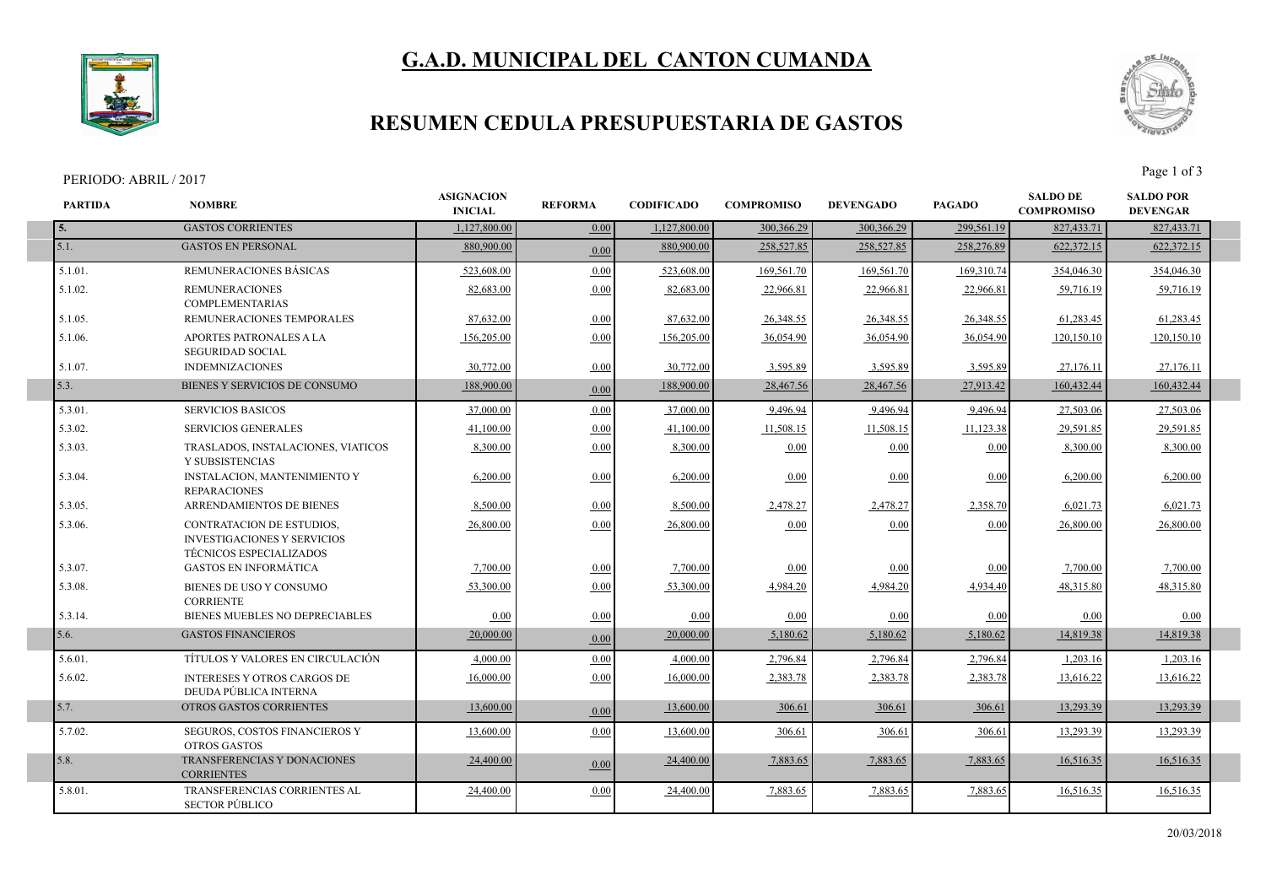# **G.A.D. MUNICIPAL DEL CANTON CUMANDA**



### **RESUMEN CEDULA PRESUPUESTARIA DE GASTOS**

#### PERIODO: ABRIL / 2017 Page 1 of 3



| <b>PARTIDA</b> | <b>NOMBRE</b>                                                                                     | <b>ASIGNACION</b><br><b>INICIAL</b> | <b>REFORMA</b> | <b>CODIFICADO</b> | <b>COMPROMISO</b> | <b>DEVENGADO</b> | <b>PAGADO</b> | <b>SALDO DE</b><br><b>COMPROMISO</b> | <b>SALDO POR</b><br><b>DEVENGAR</b> |  |
|----------------|---------------------------------------------------------------------------------------------------|-------------------------------------|----------------|-------------------|-------------------|------------------|---------------|--------------------------------------|-------------------------------------|--|
|                | <b>GASTOS CORRIENTES</b>                                                                          | 1,127,800.00                        | 0.00           | 1,127,800.00      | 300,366.29        | 300,366.29       | 299,561.19    | 827,433.71                           | 827,433.71                          |  |
| 5.1.           | <b>GASTOS EN PERSONAL</b>                                                                         | 880,900.00                          | 0.00           | 880,900.00        | 258,527.85        | 258,527.85       | 258,276.89    | 622,372.15                           | 622,372.15                          |  |
| $5.1.01$ .     | REMUNERACIONES BÁSICAS                                                                            | 523,608.00                          | 0.00           | 523.608.00        | 169,561.70        | 169,561.70       | 169,310.74    | 354,046.30                           | 354,046.30                          |  |
| 5.1.02.        | <b>REMUNERACIONES</b><br><b>COMPLEMENTARIAS</b>                                                   | 82,683.00                           | 0.00           | 82,683.00         | 22,966.81         | 22,966.8         | 22,966.81     | 59,716.19                            | 59,716.19                           |  |
| 5.1.05.        | REMUNERACIONES TEMPORALES                                                                         | 87,632.00                           | 0.00           | 87,632.00         | 26,348.55         | 26,348.55        | 26,348.55     | 61,283.45                            | 61,283.45                           |  |
| 5.1.06.        | APORTES PATRONALES A LA<br><b>SEGURIDAD SOCIAL</b>                                                | 156,205.00                          | 0.00           | 156,205.00        | 36,054.90         | 36,054.90        | 36,054.90     | 120,150.10                           | 120,150.10                          |  |
| 5.1.07.        | <b>INDEMNIZACIONES</b>                                                                            | 30,772.00                           | 0.00           | 30,772.00         | 3,595.89          | 3,595.89         | 3,595.89      | 27,176.11                            | 27,176.11                           |  |
| 5.3.           | BIENES Y SERVICIOS DE CONSUMO                                                                     | 188,900.00                          | 0.00           | 188,900.00        | 28,467.56         | 28,467.56        | 27,913.42     | 160,432.44                           | 160,432.44                          |  |
| 5.3.01.        | <b>SERVICIOS BASICOS</b>                                                                          | 37,000.00                           | 0.00           | 37,000.00         | 9,496.94          | 9,496.94         | 9,496.94      | 27,503.06                            | 27,503.06                           |  |
| 5.3.02.        | <b>SERVICIOS GENERALES</b>                                                                        | 41.100.00                           | 0.00           | 41.100.00         | 11,508.15         | 11,508.15        | 11,123.38     | 29,591.85                            | 29,591.85                           |  |
| 5.3.03.        | TRASLADOS, INSTALACIONES, VIATICOS<br>Y SUBSISTENCIAS                                             | 8.300.00                            | 0.00           | 8.300.00          | 0.00              | 0.00             | 0.00          | 8,300.00                             | 8.300.00                            |  |
| 5.3.04.        | INSTALACION, MANTENIMIENTO Y<br><b>REPARACIONES</b>                                               | 6,200.00                            | 0.00           | 6,200.00          | 0.00              | 0.00             | 0.00          | 6,200.00                             | 6,200.00                            |  |
| 5.3.05.        | ARRENDAMIENTOS DE BIENES                                                                          | 8,500.00                            | 0.00           | 8,500.00          | 2,478.27          | 2,478.27         | 2,358.70      | 6,021.73                             | 6,021.73                            |  |
| 5.3.06.        | <b>CONTRATACION DE ESTUDIOS,</b><br><b>INVESTIGACIONES Y SERVICIOS</b><br>TÉCNICOS ESPECIALIZADOS | 26,800.00                           | 0.00           | 26,800.00         | 0.00              | 0.00             | 0.00          | 26,800.00                            | 26,800.00                           |  |
| 5.3.07.        | <b>GASTOS EN INFORMÁTICA</b>                                                                      | 7.700.00                            | 0.00           | 7,700.00          | 0.00              | 0.00             | 0.00          | 7,700.00                             | 7,700.00                            |  |
| 5.3.08.        | BIENES DE USO Y CONSUMO<br><b>CORRIENTE</b>                                                       | 53,300.00                           | 0.00           | 53,300.00         | 4,984.20          | 4,984.20         | 4,934.40      | 48,315.80                            | 48,315.80                           |  |
| 5.3.14.        | BIENES MUEBLES NO DEPRECIABLES                                                                    | 0.00                                | 0.00           | 0.00              | 0.00              | 0.00             | 0.00          | 0.00                                 | 0.00                                |  |
| 5.6.           | <b>GASTOS FINANCIEROS</b>                                                                         | 20,000.00                           | 0.00           | 20,000.00         | 5,180.62          | 5,180.62         | 5,180.62      | 14,819.38                            | 14,819.38                           |  |
| 5.6.01.        | TÍTULOS Y VALORES EN CIRCULACIÓN                                                                  | 4,000.00                            | 0.00           | 4,000.00          | 2,796.84          | 2,796.84         | 2,796.84      | 1,203.16                             | 1,203.16                            |  |
| 5.6.02.        | <b>INTERESES Y OTROS CARGOS DE</b><br>DEUDA PÚBLICA INTERNA                                       | 16,000.00                           | 0.00           | 16,000.00         | 2,383.78          | 2,383.78         | 2,383.78      | 13,616.22                            | 13,616.22                           |  |
| 5.7.           | <b>OTROS GASTOS CORRIENTES</b>                                                                    | 13,600.00                           | 0.00           | 13,600.00         | 306.61            | 306.61           | 306.61        | 13,293.39                            | 13,293.39                           |  |
| 5.7.02.        | SEGUROS, COSTOS FINANCIEROS Y<br><b>OTROS GASTOS</b>                                              | 13,600.00                           | 0.00           | 13,600.00         | 306.61            | 306.61           | 306.61        | 13,293.39                            | 13,293.39                           |  |
| 5.8.           | TRANSFERENCIAS Y DONACIONES<br><b>CORRIENTES</b>                                                  | 24,400.00                           | 0.00           | 24,400.00         | 7,883.65          | 7,883.65         | 7,883.65      | 16,516.35                            | 16,516.35                           |  |
| 5.8.01.        | TRANSFERENCIAS CORRIENTES AL<br><b>SECTOR PÚBLICO</b>                                             | 24,400.00                           | 0.00           | 24,400.00         | 7,883.65          | 7,883.65         | 7,883.65      | 16,516.35                            | 16,516.35                           |  |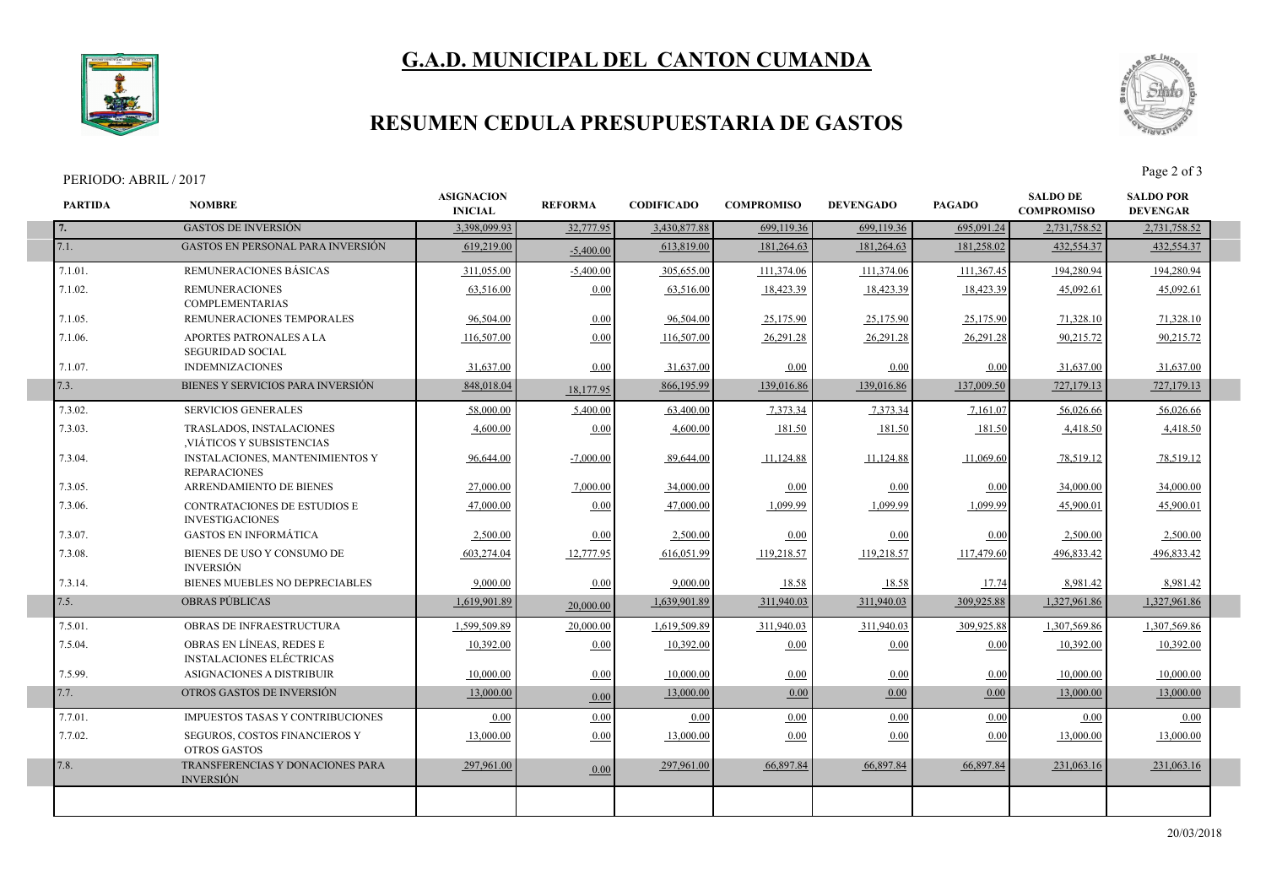



### **RESUMEN CEDULA PRESUPUESTARIA DE GASTOS**

#### PERIODO: ABRIL / 2017 Page 2 of 3

ı

I



| <b>PARTIDA</b> | <b>NOMBRE</b>                                                 | <b>ASIGNACION</b><br><b>INICIAL</b> | <b>REFORMA</b> | <b>CODIFICADO</b> | <b>COMPROMISO</b> | <b>DEVENGADO</b> | <b>PAGADO</b> | <b>SALDO DE</b><br><b>COMPROMISO</b> | <b>SALDO POR</b><br><b>DEVENGAR</b> |
|----------------|---------------------------------------------------------------|-------------------------------------|----------------|-------------------|-------------------|------------------|---------------|--------------------------------------|-------------------------------------|
| 7.             | <b>GASTOS DE INVERSIÓN</b>                                    | 3,398,099.93                        | 32,777.95      | 3,430,877.88      | 699,119.36        | 699,119.36       | 695,091.24    | 2,731,758.52                         | 2,731,758.52                        |
| 7.1.           | <b>GASTOS EN PERSONAL PARA INVERSIÓN</b>                      | 619,219.00                          | $-5.400.00$    | 613,819.00        | 181,264.63        | 181,264.63       | 181,258.02    | 432,554.37                           | 432,554.37                          |
| 7.1.01.        | REMUNERACIONES BÁSICAS                                        | 311,055.00                          | $-5,400.00$    | 305,655.00        | 111,374.06        | 111,374.06       | 111,367.45    | 194,280.94                           | 194,280.94                          |
| 7.1.02.        | <b>REMUNERACIONES</b><br><b>COMPLEMENTARIAS</b>               | 63,516.00                           | 0.00           | 63,516.00         | 18,423.39         | 18,423.39        | 18,423.39     | 45,092.61                            | 45,092.61                           |
| 7.1.05.        | REMUNERACIONES TEMPORALES                                     | 96,504.00                           | 0.00           | 96,504.00         | 25,175.90         | 25,175.90        | 25,175.90     | 71,328.10                            | 71,328.10                           |
| 7.1.06.        | APORTES PATRONALES A LA<br><b>SEGURIDAD SOCIAL</b>            | 116.507.00                          | 0.00           | 116,507.00        | 26.291.28         | 26.291.28        | 26.291.28     | 90.215.72                            | 90.215.72                           |
| 7.1.07.        | <b>INDEMNIZACIONES</b>                                        | 31,637.00                           | 0.00           | 31,637.00         | 0.00              | 0.00             | 0.00          | 31.637.00                            | 31,637.00                           |
| 7.3.           | BIENES Y SERVICIOS PARA INVERSIÓN                             | 848,018.04                          | 18,177.95      | 866,195.99        | 139,016.86        | 139,016.86       | 137,009.50    | 727,179.13                           | 727,179.13                          |
| 7.3.02.        | <b>SERVICIOS GENERALES</b>                                    | 58,000.00                           | 5,400.00       | 63,400.00         | 7,373.34          | 7,373.34         | 7,161.07      | 56,026.66                            | 56,026.66                           |
| 7.3.03.        | TRASLADOS, INSTALACIONES<br>VIÁTICOS Y SUBSISTENCIAS          | 4,600.00                            | 0.00           | 4,600.00          | 181.50            | 181.50           | 181.50        | 4,418.50                             | 4,418.50                            |
| 7.3.04.        | <b>INSTALACIONES, MANTENIMIENTOS Y</b><br><b>REPARACIONES</b> | 96,644.00                           | $-7,000.00$    | 89,644.00         | 11,124.88         | 11,124.88        | 11,069.60     | 78,519.12                            | 78,519.12                           |
| 7.3.05.        | ARRENDAMIENTO DE BIENES                                       | 27,000.00                           | 7,000.00       | 34,000.00         | 0.00              | 0.00             | 0.00          | 34,000.00                            | 34,000.00                           |
| 7.3.06.        | CONTRATACIONES DE ESTUDIOS E<br><b>INVESTIGACIONES</b>        | 47,000.00                           | 0.00           | 47,000.00         | 1,099.99          | 1,099.99         | 1,099.99      | 45,900.01                            | 45,900.01                           |
| 7.3.07.        | <b>GASTOS EN INFORMÁTICA</b>                                  | 2,500.00                            | 0.00           | 2,500.00          | 0.00              | 0.00             | 0.00          | 2,500.00                             | 2,500.00                            |
| 7.3.08.        | BIENES DE USO Y CONSUMO DE<br><b>INVERSIÓN</b>                | 603.274.04                          | 12,777.95      | 616,051.99        | 119,218.57        | 119,218.57       | 117,479.60    | 496,833.42                           | 496,833.42                          |
| 7.3.14.        | BIENES MUEBLES NO DEPRECIABLES                                | 9.000.00                            | 0.00           | 9.000.00          | 18.58             | 18.58            | 17.74         | 8,981.42                             | 8,981.42                            |
| 7.5.           | <b>OBRAS PUBLICAS</b>                                         | 1,619,901.89                        | 20,000.00      | 1.639.901.89      | 311,940.03        | 311,940.03       | 309,925.88    | 1,327,961.86                         | 1,327,961.86                        |
| 7.5.01.        | OBRAS DE INFRAESTRUCTURA                                      | 1.599.509.89                        | 20,000.00      | 1,619,509.89      | 311,940.03        | 311,940.03       | 309,925.88    | 1,307,569.86                         | 1,307,569.86                        |
| 7.5.04.        | OBRAS EN LÍNEAS, REDES E<br><b>INSTALACIONES ELÉCTRICAS</b>   | 10,392.00                           | 0.00           | 10,392.00         | 0.00              | 0.00             | 0.00          | 10,392.00                            | 10.392.00                           |
| 7.5.99.        | ASIGNACIONES A DISTRIBUIR                                     | 10,000.00                           | 0.00           | 10,000.00         | 0.00              | 0.00             | 0.00          | 10,000.00                            | 10,000.00                           |
| 7.7.           | OTROS GASTOS DE INVERSIÓN                                     | 13,000.00                           | 0.00           | 13,000.00         | 0.00              | 0.00             | 0.00          | 13,000.00                            | 13,000.00                           |
| 7.7.01.        | <b>IMPUESTOS TASAS Y CONTRIBUCIONES</b>                       | 0.00                                | 0.00           | 0.00              | 0.00              | 0.00             | 0.00          | 0.00                                 | 0.00                                |
| 7.7.02.        | SEGUROS, COSTOS FINANCIEROS Y<br><b>OTROS GASTOS</b>          | 13,000.00                           | 0.00           | 13,000.00         | 0.00              | 0.00             | 0.00          | 13,000.00                            | 13,000.00                           |
| 7.8.           | TRANSFERENCIAS Y DONACIONES PARA<br><b>INVERSIÓN</b>          | 297,961.00                          | 0.00           | 297,961.00        | 66,897.84         | 66.897.84        | 66,897.84     | 231,063.16                           | 231,063.16                          |
|                |                                                               |                                     |                |                   |                   |                  |               |                                      |                                     |